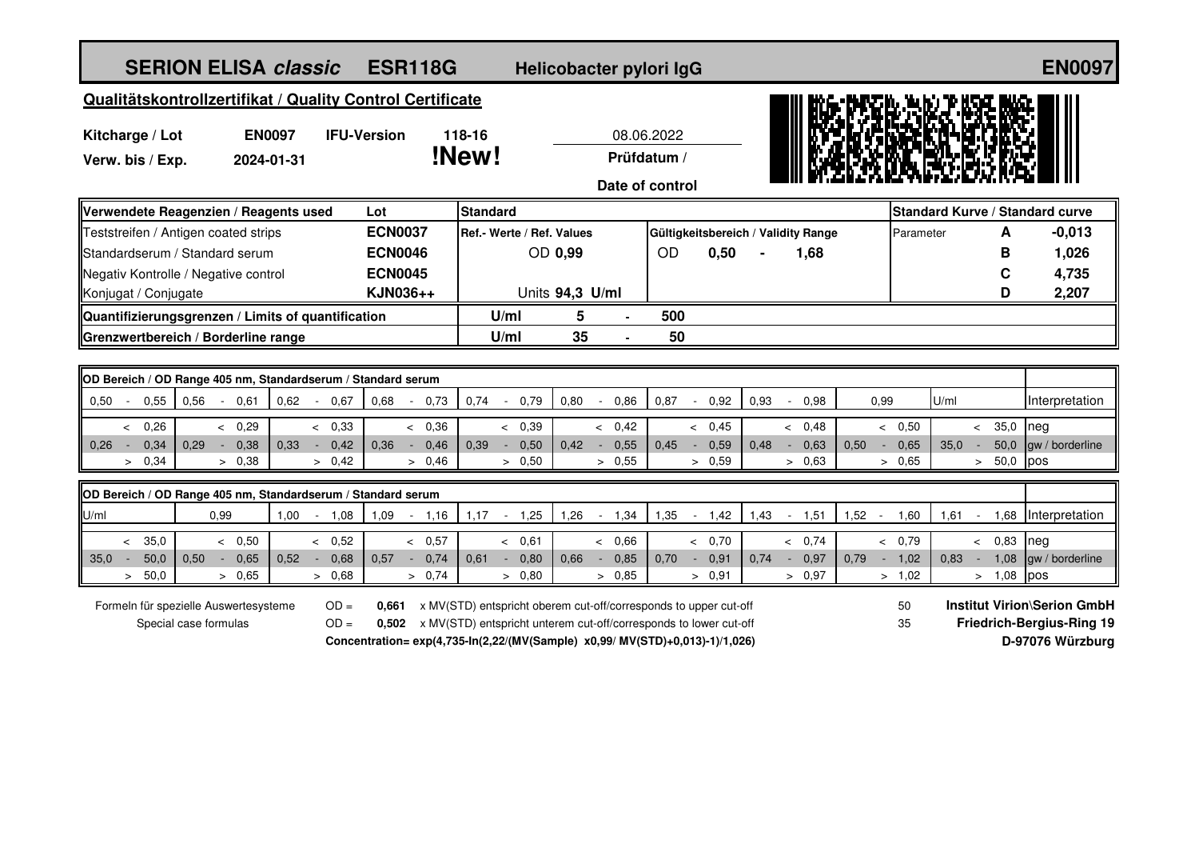| <b>SERION ELISA classic</b>                                                                 |                             |                    | <b>ESR118G</b>    |        |                                                                                                                                                                                                                             |                 | Helicobacter pylori IgG |                                              |                |      |                                     |                |                                                                                                        |      |                | <b>EN0097</b>                   |
|---------------------------------------------------------------------------------------------|-----------------------------|--------------------|-------------------|--------|-----------------------------------------------------------------------------------------------------------------------------------------------------------------------------------------------------------------------------|-----------------|-------------------------|----------------------------------------------|----------------|------|-------------------------------------|----------------|--------------------------------------------------------------------------------------------------------|------|----------------|---------------------------------|
| Qualitätskontrollzertifikat / Quality Control Certificate                                   |                             |                    |                   |        |                                                                                                                                                                                                                             |                 |                         |                                              |                |      |                                     |                |                                                                                                        |      |                |                                 |
| Kitcharge / Lot<br>Verw. bis / Exp.                                                         | <b>EN0097</b><br>2024-01-31 | <b>IFU-Version</b> |                   |        | 118-16<br>!New!                                                                                                                                                                                                             |                 |                         | 08.06.2022<br>Prüfdatum /<br>Date of control |                |      |                                     |                |                                                                                                        |      |                |                                 |
| Verwendete Reagenzien / Reagents used                                                       |                             |                    | Lot               |        | <b>Standard</b>                                                                                                                                                                                                             |                 |                         |                                              |                |      |                                     |                |                                                                                                        |      |                | Standard Kurve / Standard curve |
| Teststreifen / Antigen coated strips                                                        |                             |                    | <b>ECN0037</b>    |        | Ref.- Werte / Ref. Values                                                                                                                                                                                                   |                 |                         |                                              |                |      | Gültigkeitsbereich / Validity Range |                | Parameter                                                                                              |      | A              | $-0,013$                        |
| Standardserum / Standard serum                                                              |                             |                    | <b>ECN0046</b>    |        |                                                                                                                                                                                                                             | OD 0,99         |                         | <b>OD</b>                                    | 0,50           |      | 1,68                                |                |                                                                                                        |      | В              | 1,026                           |
| Negativ Kontrolle / Negative control                                                        |                             |                    | <b>ECN0045</b>    |        |                                                                                                                                                                                                                             |                 |                         |                                              |                |      |                                     |                |                                                                                                        |      | $\mathbf c$    | 4,735                           |
| Konjugat / Conjugate                                                                        |                             |                    | KJN036++          |        |                                                                                                                                                                                                                             | Units 94,3 U/ml |                         |                                              |                |      |                                     |                |                                                                                                        |      | D              | 2,207                           |
| Quantifizierungsgrenzen / Limits of quantification                                          |                             |                    |                   | U/ml   | 5                                                                                                                                                                                                                           |                 | 500                     |                                              |                |      |                                     |                |                                                                                                        |      |                |                                 |
| Grenzwertbereich / Borderline range                                                         |                             |                    |                   | U/ml   | 35                                                                                                                                                                                                                          |                 | 50                      |                                              |                |      |                                     |                |                                                                                                        |      |                |                                 |
|                                                                                             |                             |                    |                   |        |                                                                                                                                                                                                                             |                 |                         |                                              |                |      |                                     |                |                                                                                                        |      |                |                                 |
| OD Bereich / OD Range 405 nm, Standardserum / Standard serum                                |                             |                    |                   |        |                                                                                                                                                                                                                             |                 |                         |                                              |                |      |                                     |                |                                                                                                        |      |                |                                 |
| 0.50<br>0,55<br>0,56<br>$\sim$                                                              | $-0.61$                     | $0.62 - 0.67$      | 0,68<br>$\sim$    | 0,73   | 0,74<br>0,79<br>$\sim$                                                                                                                                                                                                      | 0,80            | 0,86<br>$\sim$          | 0,87                                         | 0,92<br>$\sim$ | 0,93 | 0,98<br>$\sim$                      | 0.99           |                                                                                                        | U/ml |                | Interpretation                  |
| 0,26<br>$\lt$                                                                               | < 0,29                      | < 0,33             | < 0,36            |        | < 0,39                                                                                                                                                                                                                      |                 | < 0,42                  |                                              | & 0.45         |      | < 0,48                              |                | < 0,50                                                                                                 |      | 35,0<br>$\leq$ | Ineg                            |
| 0,34<br>0,26<br>0.29<br>$\sim$<br>♦                                                         | 0,38<br>0.33                | 0,42<br>$\sim$     | 0.36<br>$\bullet$ | 0,46   | 0,50<br>0.39<br>$\sim$                                                                                                                                                                                                      | 0.42            | 0,55<br>$\sim$          | 0.45                                         | 0,59<br>$\sim$ | 0,48 | $-0,63$                             | 0,50<br>$\sim$ | 0,65                                                                                                   | 35.0 | 50,0<br>$\sim$ | gw / borderline                 |
| 0,34<br>$\geq$                                                                              | > 0,38                      | > 0.42             |                   | > 0.46 | > 0,50                                                                                                                                                                                                                      |                 | > 0,55                  |                                              | > 0.59         |      | > 0,63                              |                | > 0,65                                                                                                 |      | 50,0<br>$\geq$ | pos                             |
| OD Bereich / OD Range 405 nm, Standardserum / Standard serum                                |                             |                    |                   |        |                                                                                                                                                                                                                             |                 |                         |                                              |                |      |                                     |                |                                                                                                        |      |                |                                 |
| U/ml<br>0,99                                                                                | 1,00                        | $-1,08$            | $-1,16$<br>1,09   |        | $1,17 - -$<br>1,25                                                                                                                                                                                                          | 1,26            | 1,34<br>$\sim$          | 1,35                                         | 1,42<br>$\sim$ | 1,43 | 1,51<br>$\sim$                      | 1,52<br>$\sim$ | 1,60                                                                                                   | 1,61 | $\sim$ $-$     | 1,68 Interpretation             |
| 35,0<br>$\overline{\phantom{a}}$                                                            | & 0.50                      | & 0.52             | & 0,57            |        | < 0,61                                                                                                                                                                                                                      |                 | & 0.66                  |                                              | & 0.70         |      | & 0.74                              |                | & 0.79                                                                                                 |      | < 0.83         | Ineg                            |
| 50,0<br>0,50<br>35,0<br>$\sim$<br>$\sim$                                                    | 0.65<br>0,52                | 0,68<br>$\sim$     | 0.57<br>$\sim$    | 0,74   | $-0,80$<br>0.61                                                                                                                                                                                                             | 0.66            | 0,85<br>$\sim$          | 0,70                                         | 0,91<br>$\sim$ | 0.74 | 0,97<br>$\sim$ $^{-1}$              | 0,79<br>$\sim$ | 1,02                                                                                                   | 0,83 | 1,08<br>$\sim$ | gw / borderline                 |
| 50,0<br>$\geq$                                                                              | > 0,65                      | > 0,68             |                   | > 0.74 | > 0,80                                                                                                                                                                                                                      |                 | > 0.85                  |                                              | > 0,91         |      | > 0.97                              |                | > 1,02                                                                                                 |      | > 1,08         | pos                             |
| Formeln für spezielle Auswertesysteme<br>$OD =$<br>0.661<br>$OD =$<br>Special case formulas |                             |                    |                   |        | x MV(STD) entspricht oberem cut-off/corresponds to upper cut-off<br>0,502 x MV(STD) entspricht unterem cut-off/corresponds to lower cut-off<br>Concentration= exp(4,735-ln(2,22/(MV(Sample) x0,99/ MV(STD)+0,013)-1)/1,026) |                 |                         |                                              |                |      |                                     |                | <b>Institut Virion\Serion GmbH</b><br>50<br><b>Friedrich-Bergius-Ring 19</b><br>35<br>D-97076 Würzburg |      |                |                                 |
|                                                                                             |                             |                    |                   |        |                                                                                                                                                                                                                             |                 |                         |                                              |                |      |                                     |                |                                                                                                        |      |                |                                 |